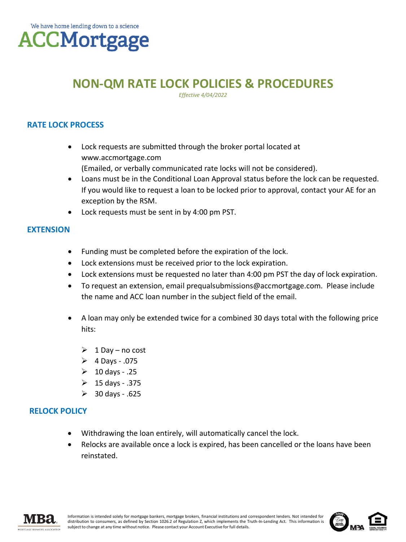# **NON-QM RATE LOCK POLICIES & PROCEDURES**

*Effective 4/04/2022* 

## **RATE LOCK PROCESS**

- Lock requests are submitted through the broker portal located at www.accmortgage.com (Emailed, or verbally communicated rate locks will not be considered).
- Loans must be in the Conditional Loan Approval status before the lock can be requested. If you would like to request a loan to be locked prior to approval, contact your AE for an exception by the RSM.
- Lock requests must be sent in by 4:00 pm PST.

### **EXTENSION**

- Funding must be completed before the expiration of the lock.
- Lock extensions must be received prior to the lock expiration.
- Lock extensions must be requested no later than 4:00 pm PST the day of lock expiration.
- To request an extension, email prequalsubmissions@accmortgage.com. Please include the name and ACC loan number in the subject field of the email.
- A loan may only be extended twice for a combined 30 days total with the following price hits:
	- $\geqslant 1$  Day no cost
	- $\geqslant$  4 Days .075
	- $\geqslant 10$  days .25
	- $\geqslant$  15 days .375
	- ➢ 30 days .625

### **RELOCK POLICY**

- Withdrawing the loan entirely, will automatically cancel the lock.
- Relocks are available once a lock is expired, has been cancelled or the loans have been reinstated.